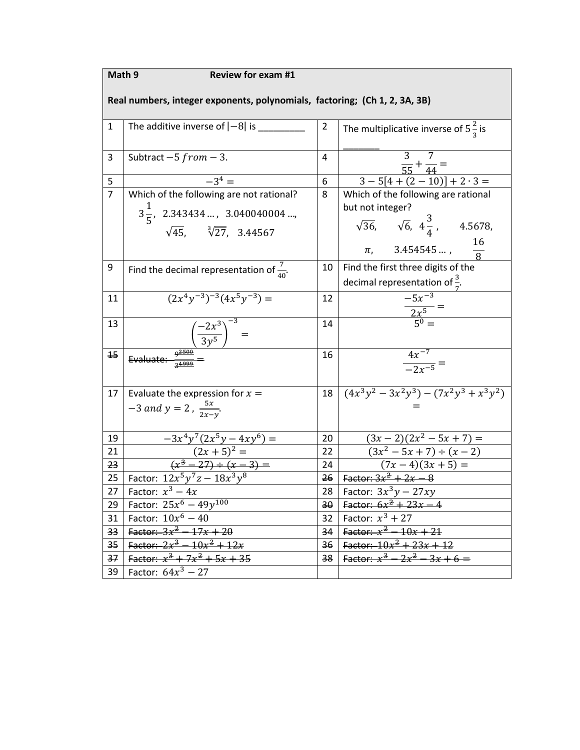| Math 9<br><b>Review for exam #1</b>                                        |                                                                                   |                |                                                                |  |  |  |  |  |
|----------------------------------------------------------------------------|-----------------------------------------------------------------------------------|----------------|----------------------------------------------------------------|--|--|--|--|--|
| Real numbers, integer exponents, polynomials, factoring; (Ch 1, 2, 3A, 3B) |                                                                                   |                |                                                                |  |  |  |  |  |
|                                                                            |                                                                                   |                |                                                                |  |  |  |  |  |
| 1                                                                          | The additive inverse of $ -8 $ is $ $                                             | $\overline{2}$ | The multiplicative inverse of $5\frac{2}{3}$ is                |  |  |  |  |  |
|                                                                            |                                                                                   |                |                                                                |  |  |  |  |  |
| 3                                                                          | Subtract $-5 from -3$ .                                                           | 4              |                                                                |  |  |  |  |  |
|                                                                            |                                                                                   |                | $\frac{1}{55} + \frac{1}{44} =$<br>3-5[4 + (2 - 10)] + 2 · 3 = |  |  |  |  |  |
| 5                                                                          | $-3^4 =$                                                                          | 6              |                                                                |  |  |  |  |  |
| $\overline{7}$                                                             | Which of the following are not rational?                                          | 8              | Which of the following are rational                            |  |  |  |  |  |
|                                                                            | $3\frac{1}{5}$ , 2.343434 , 3.040040004 ,                                         |                | but not integer?                                               |  |  |  |  |  |
|                                                                            | $\sqrt{45}$ , $\sqrt[3]{27}$ , 3.44567                                            |                | $\sqrt{36}$ , $\sqrt{6}$ , $4\frac{3}{4}$ , 4.5678,            |  |  |  |  |  |
|                                                                            |                                                                                   |                |                                                                |  |  |  |  |  |
|                                                                            |                                                                                   |                | $\frac{16}{8}$<br>$\pi$ , 3.454545 ,                           |  |  |  |  |  |
| 9                                                                          | Find the decimal representation of $\frac{7}{40}$ .                               | 10             | Find the first three digits of the                             |  |  |  |  |  |
|                                                                            |                                                                                   |                | decimal representation of $\frac{3}{7}$ .                      |  |  |  |  |  |
| 11                                                                         | $(2x^4y^{-3})^{-3}(4x^5y^{-3}) =$                                                 | 12             |                                                                |  |  |  |  |  |
|                                                                            |                                                                                   |                | $\frac{2x^5}{5^0}$ =                                           |  |  |  |  |  |
| 13                                                                         |                                                                                   | 14             |                                                                |  |  |  |  |  |
|                                                                            | Evaluate: $\frac{\left(-\frac{2x^3}{3y^5}\right)^{-3}}{\frac{9^{2500}}{34999}}$ = |                |                                                                |  |  |  |  |  |
| 15                                                                         |                                                                                   | 16             | $\frac{4x^{-7}}{-2x^{-5}} =$                                   |  |  |  |  |  |
|                                                                            |                                                                                   |                |                                                                |  |  |  |  |  |
|                                                                            |                                                                                   |                |                                                                |  |  |  |  |  |
| 17                                                                         | Evaluate the expression for $x =$                                                 | 18             | $\sqrt{(4x^3y^2-3x^2y^3)-(7x^2y^3+x^3y^2)}$                    |  |  |  |  |  |
|                                                                            | $-3$ and $y = 2$ , $\frac{5x}{2x-y}$ .                                            |                |                                                                |  |  |  |  |  |
|                                                                            |                                                                                   |                |                                                                |  |  |  |  |  |
| 19                                                                         | $-3x^4y^7(2x^5y-4xy^6) =$                                                         | 20             | $\sqrt{(3x-2)(2x^2-5x+7)}$ =                                   |  |  |  |  |  |
| 21                                                                         | $(2x+5)^2 =$                                                                      | 22             | $(3x^2-5x+7) \div (x-2)$                                       |  |  |  |  |  |
| 23                                                                         | $\frac{(2x+3)}{(x^3-27)+(x-3)}$                                                   | 24             | $(7x-4)(3x+5) =$                                               |  |  |  |  |  |
| 25                                                                         | Factor: $12x^5y^7z - 18x^3y^8$                                                    | 26             | <b>Factor:</b> $3x^2 + 2x - 8$                                 |  |  |  |  |  |
| 27                                                                         | Factor: $x^3 - 4x$                                                                | 28             | Factor: $3x^3y - 27xy$                                         |  |  |  |  |  |
| 29                                                                         | Factor: $25x^6 - 49y^{100}$                                                       | 30             | Factor: $6x^2 + 23x - 4$                                       |  |  |  |  |  |
| 31                                                                         | Factor: $10x^6 - 40$                                                              | 32             | Factor: $x^3 + 27$                                             |  |  |  |  |  |
| 33 <sub>0</sub>                                                            | Factor: $3x^2 - 17x + 20$                                                         | 34             | Factor: $x^2 - 10x + 21$                                       |  |  |  |  |  |
| 35                                                                         | Factor: $2x^3 - 10x^2 + 12x$                                                      | 36             | Factor: $10x^2 + 23x + 12$                                     |  |  |  |  |  |
| 37                                                                         | Factor: $x^3 + 7x^2 + 5x + 35$                                                    | 38             | Factor: $x^3 - 2x^2 - 3x + 6 =$                                |  |  |  |  |  |
| 39                                                                         | Factor: $64x^3 - 27$                                                              |                |                                                                |  |  |  |  |  |